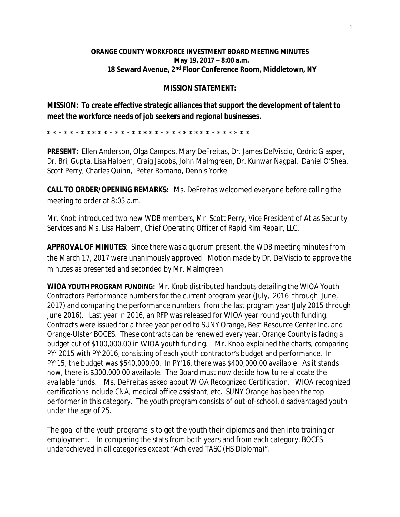## **ORANGE COUNTY WORKFORCE INVESTMENT BOARD MEETING MINUTES May 19, 2017 – 8:00 a.m. 18 Seward Avenue, 2nd Floor Conference Room, Middletown, NY**

## **MISSION STATEMENT:**

**MISSION: To create effective strategic alliances that support the development of talent to meet the workforce needs of job seekers and regional businesses.**

**\* \* \* \* \* \* \* \* \* \* \* \* \* \* \* \* \* \* \* \* \* \* \* \* \* \* \* \* \* \* \* \* \* \* \* \*** 

**PRESENT:** Ellen Anderson, Olga Campos, Mary DeFreitas, Dr. James DelViscio, Cedric Glasper, Dr. Brij Gupta, Lisa Halpern, Craig Jacobs, John Malmgreen, Dr. Kunwar Nagpal, Daniel O'Shea, Scott Perry, Charles Quinn, Peter Romano, Dennis Yorke

**CALL TO ORDER/OPENING REMARKS:** Ms. DeFreitas welcomed everyone before calling the meeting to order at 8:05 a.m.

Mr. Knob introduced two new WDB members, Mr. Scott Perry, Vice President of Atlas Security Services and Ms. Lisa Halpern, Chief Operating Officer of Rapid Rim Repair, LLC.

**APPROVAL OF MINUTES**: Since there was a quorum present, the WDB meeting minutes from the March 17, 2017 were unanimously approved. Motion made by Dr. DelViscio to approve the minutes as presented and seconded by Mr. Malmgreen.

**WIOA YOUTH PROGRAM FUNDING:** Mr. Knob distributed handouts detailing the WIOA Youth Contractors Performance numbers for the current program year (July, 2016 through June, 2017) and comparing the performance numbers from the last program year (July 2015 through June 2016). Last year in 2016, an RFP was released for WIOA year round youth funding. Contracts were issued for a three year period to SUNY Orange, Best Resource Center Inc. and Orange-Ulster BOCES. These contracts can be renewed every year. Orange County is facing a budget cut of \$100,000.00 in WIOA youth funding. Mr. Knob explained the charts, comparing PY' 2015 with PY'2016, consisting of each youth contractor's budget and performance. In PY'15, the budget was \$540,000.00. In PY'16, there was \$400,000.00 available. As it stands now, there is \$300,000.00 available. The Board must now decide how to re-allocate the available funds. Ms. DeFreitas asked about WIOA Recognized Certification. WIOA recognized certifications include CNA, medical office assistant, etc. SUNY Orange has been the top performer in this category. The youth program consists of out-of-school, disadvantaged youth under the age of 25.

The goal of the youth programs is to get the youth their diplomas and then into training or employment. In comparing the stats from both years and from each category, BOCES underachieved in all categories except "Achieved TASC (HS Diploma)".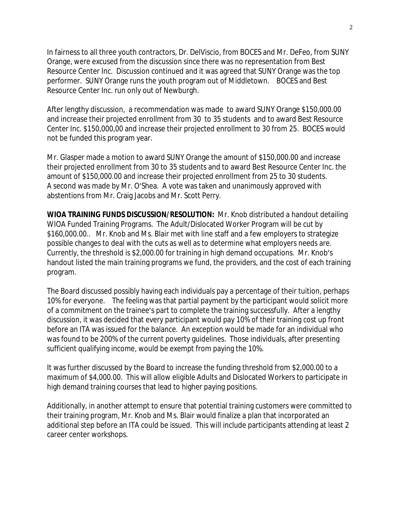In fairness to all three youth contractors, Dr. DelViscio, from BOCES and Mr. DeFeo, from SUNY Orange, were excused from the discussion since there was no representation from Best Resource Center Inc. Discussion continued and it was agreed that SUNY Orange was the top performer. SUNY Orange runs the youth program out of Middletown. BOCES and Best Resource Center Inc. run only out of Newburgh.

After lengthy discussion, a recommendation was made to award SUNY Orange \$150,000.00 and increase their projected enrollment from 30 to 35 students and to award Best Resource Center Inc. \$150,000,00 and increase their projected enrollment to 30 from 25. BOCES would not be funded this program year.

Mr. Glasper made a motion to award SUNY Orange the amount of \$150,000.00 and increase their projected enrollment from 30 to 35 students and to award Best Resource Center Inc. the amount of \$150,000.00 and increase their projected enrollment from 25 to 30 students. A second was made by Mr. O'Shea. A vote was taken and unanimously approved with abstentions from Mr. Craig Jacobs and Mr. Scott Perry.

**WIOA TRAINING FUNDS DISCUSSION/RESOLUTION:** Mr. Knob distributed a handout detailing WIOA Funded Training Programs. The Adult/Dislocated Worker Program will be cut by \$160,000.00.. Mr. Knob and Ms. Blair met with line staff and a few employers to strategize possible changes to deal with the cuts as well as to determine what employers needs are. Currently, the threshold is \$2,000.00 for training in high demand occupations. Mr. Knob's handout listed the main training programs we fund, the providers, and the cost of each training program.

The Board discussed possibly having each individuals pay a percentage of their tuition, perhaps 10% for everyone. The feeling was that partial payment by the participant would solicit more of a commitment on the trainee's part to complete the training successfully. After a lengthy discussion, it was decided that every participant would pay 10% of their training cost up front before an ITA was issued for the balance. An exception would be made for an individual who was found to be 200% of the current poverty guidelines. Those individuals, after presenting sufficient qualifying income, would be exempt from paying the 10%.

It was further discussed by the Board to increase the funding threshold from \$2,000.00 to a maximum of \$4,000.00. This will allow eligible Adults and Dislocated Workers to participate in high demand training courses that lead to higher paying positions.

Additionally, in another attempt to ensure that potential training customers were committed to their training program, Mr. Knob and Ms. Blair would finalize a plan that incorporated an additional step before an ITA could be issued. This will include participants attending at least 2 career center workshops.